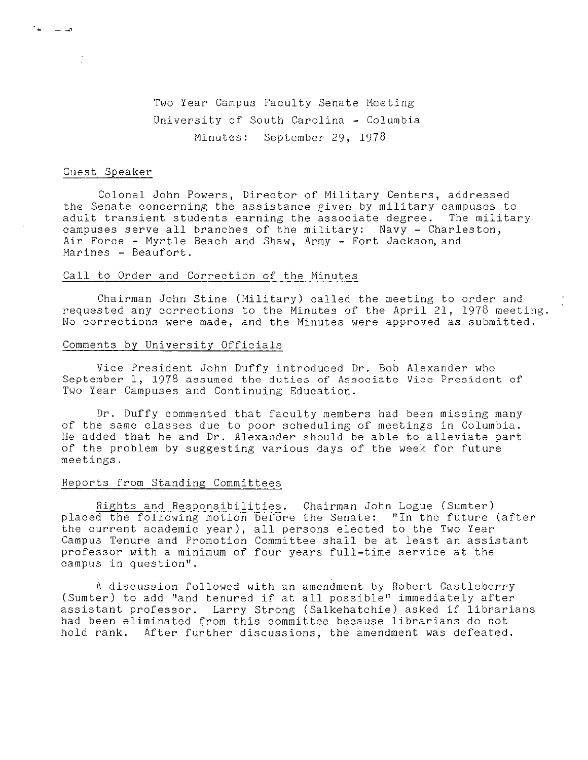Two Year Campus Faculty Senate Meeting University of South Carolina - Columbia Minutes: September 29, 1978

# Guest Speaker

1⊸ —

Colonel John Powers, Director of Military Centers, addressed the Senate concerning the assistance given by military campuses to adult transient students earning the associate degree. The military campuses serve all branches of the military: Navy - Charleston, Air Force - Myrtle Beach and Shaw, Army - Fort Jackson, and Marines - Beaufort.

### Call to Order and Correction of the Minutes

Chairman John Stine (Military) called the meeting to order and requested any corrections to the Minutes of the April 21, 1978 meeting. No corrections were made, and the Minutes were approved as submitted.

## Comments by University Officials

Vice President John Duffy introduced Dr. Bob Alexander who September 1, 1978 assumed the duties of Associate Vice President of Two Year Campuses and Continuing Education.

Dr. Duffy commented that faculty members had been missing many of the same classes due to poor scheduling of meetings in Columbia. He added that he and Dr. Alexander should be able to alleviate part of the problem by suggesting various days of the week for future meetings.

### Reports from Standing Committees

Rights and Responsibilities. Chairman John Logue (Sumter) placed the following motion before the Senate: ''In the future (after the current academic year), all persons elected to the Two Year Campus Tenure and Promotion Committee shall be at least an assistant professor with a minimum of four years full-time service at the campus in question''.

A discussion followed with an amendment by Robert Castleberry (Sumter) to add ''and tenured if at all possible'' immediately after assistant professor. Larry Strong (Salkehatchie) asked if librarians had been eliminated from this committee because librarians do not hold rank. After further discussions, the amendment was defeated.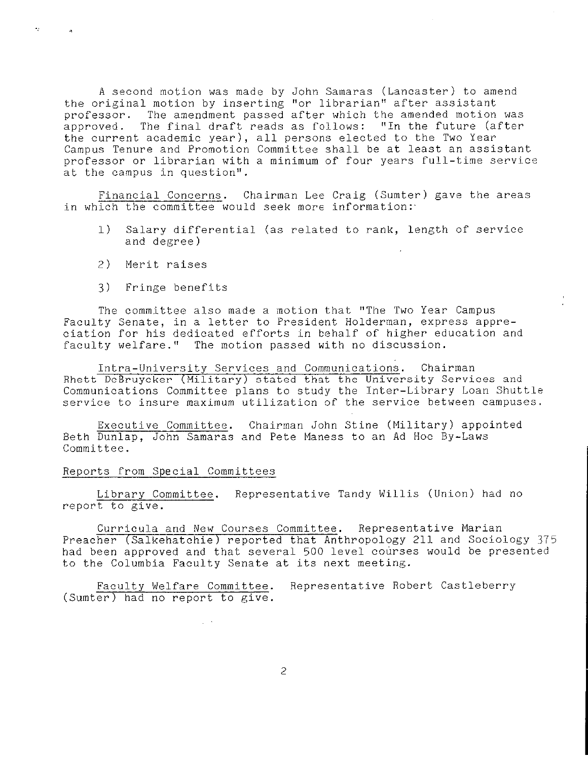A second motion was made by John Samaras (Lancaster) to amend the original motion by inserting ''or librarian'' after assistant professor. The amendment passed after which the amended motion was approved. The final draft reads as follows: ''In the future (after the current academic year), all persons elected to the Two Year Campus Tenure and Promotion Committee shall be at least an assistant professor or librarian with a minimum of four years full-time service at the campus in question''.

Financial Concerns. Chairman Lee Craig (Sumter) gave the areas in which the committee would seek more information:-

- 1) Salary differential (as related to rank, length of service and degree)
- 2) Merit raises

÷.

 $\alpha$ 

3) Fringe benefits

The committee also made a motion that ''The Two Year Campus Faculty Senate, in a letter to President Holderman, express appreciation for his dedicated efforts in behalf of higher education and faculty welfare." The motion passed with no discussion.

Intra-University Services and Communications. Chairman Rhett DeBruycker (Military) stated that the University Services and Communications Committee plans to study the Inter-Library Loan Shuttle service to insure maximum utilization of the service between campuses.

Executive Committee. Chairman John Stine (Military) appointed Beth Dunlap, John Samaras and Pete Maness to an Ad Hoc By-Laws Committee.

### Reports from Special Committees

Library Committee. Representative Tandy Willis (Union) had no report to give.

Curricula and New Courses Committee. Representative Marian Preacher (Salkehatchie) reported that Anthropology 211 and Sociology 375 had been approved and that several 500 level courses would be presented to the Columbia Faculty Senate at its next meeting.

Faculty Welfare Committee. Representative Robert Castleberry (Sumter) had no report to give.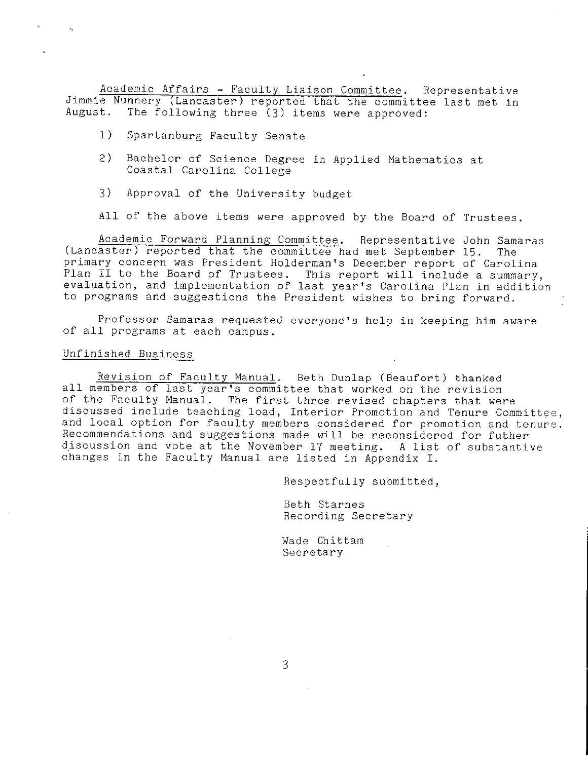Academic Affairs - Faculty Liaison Committee. Representative Jimmie Nunnery (Lancaster) reported that the committee last met in August. The following three (3) items were approved:

- l) Spartanburg Faculty Senate
- 2) Bachelor of Science Degree in Applied Mathematics at Coastal Carolina College
- 3) Approval of the University budget

All of the above items were approved by the Board of Trustees.

Academic Forward Planning Committee. Representative John Samaras (Lancaster) reported that the committee had met September 15. The primary concern was President Holderman's December report of Carolina Plan II to the Board of Trustees. This report will include a summary, evaluation, and implementation of last year's Carolina Plan in addition to programs and suggestions the President wishes to bring forward.

Professor Samaras requested everyone's help in keeping him aware of all programs at each campus.

#### Unfinished Business

Revision of Faculty Manual. Beth Dunlap (Beaufort) thanked all members of last year's committee that worked on the revision of the Faculty Manual. The first three revised chapters that were discussed include teaching load, Interior Promotion and Tenure Committee, and local option for faculty members considered for promotion and tenure. Recommendations and suggestions made will be reconsidered for futher discussion and vote at the November 17 meeting. A list of substantive changes in the Faculty Manual are listed in Appendix I.

Respectfully submitted,

Beth Starnes Recording Secretary

Wade Chittam Secretary

3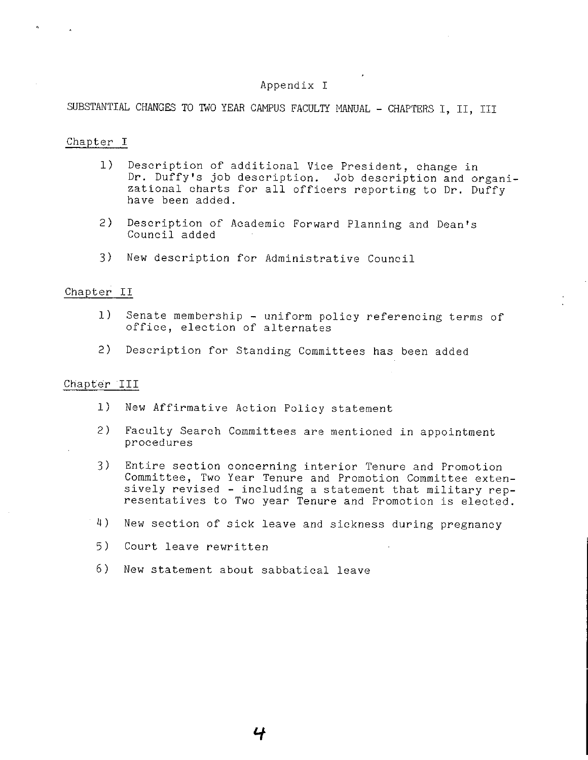# Appendix I

SUBSTANTIAL CHANGES TO TWO YEAR CAMPUS FACULTY MANUAL - CHAPTERS I, II, III

### Chapter I

- 1) Description of additional Vice President, change in Dr. Duffy's job description. Job description and organizational charts for all officers reporting to Dr. Duffy have been added.
- 2) Description of Academic Forward Planning and Dean's Council added
- 3) New description for Administrative Council

### Chapter II

- 1) Senate membership uniform policy referencing terms of office, election of alternates
- 2) Description for Standing Committees has been added

### Chapter III

- 1) New Affirmative Action Policy statement
- 2) Faculty Search Committees are mentioned in appointment procedures
- 3) Entire section concerning interior Tenure and Promotion Committee, Two Year Tenure and Promotion Committee extensively revised - including a statement that military representatives to Two year Tenure and Promotion is elected.
- 4) New section of sick leave and sickness during pregnancy
- 5) Court leave rewritten
- 6) New statement about sabbatical leave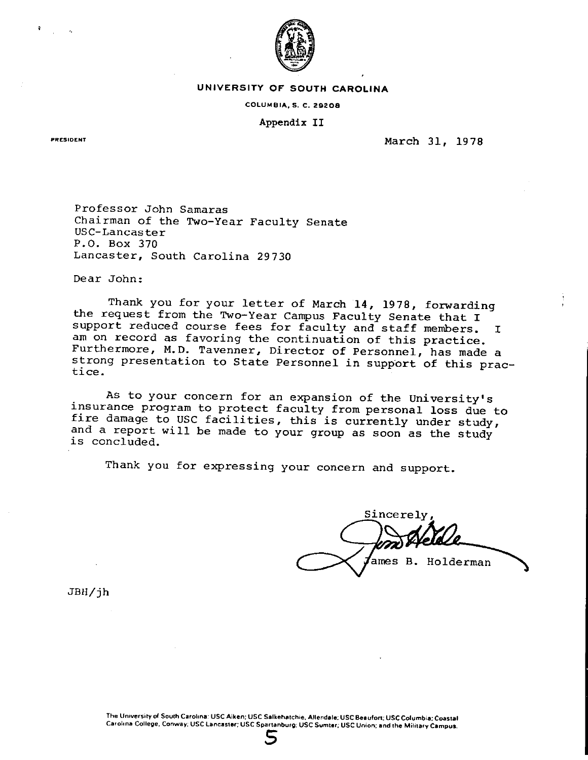

#### **UNIVERSITY OF" SOUTH CAROLINA**

#### **COLUMBIA, S, C. 29208**

# **Appendix** II

**PRESIDENT** 

March 31, 1978

Professor John Samaras Chairman of the Two-Year Faculty Senate USC-Lancaster P.O. Box 370 Lancaster, South Carolina 29730

Dear John:

Thank you for your letter of March **14,** 1978, forwarding the request from the Two-Year Campus Faculty Senate that I support reduced course fees for faculty and staff members. I<br>am on record as favoring the continuation of this practice. Furthermore, M.D. Tavenner, Director of Personnel, has made a strong presentation to State Personnel in support of this prac-<br>tice.

As to your concern for an expansion of the University's<br>insurance program to protect faculty from personal loss due to<br>fire damage to USC facilities, this is currently under study,<br>and a report will be made to your group a

Thank you for expressing your concern and support.

Sincerely ames B. Holderman

JBH/jh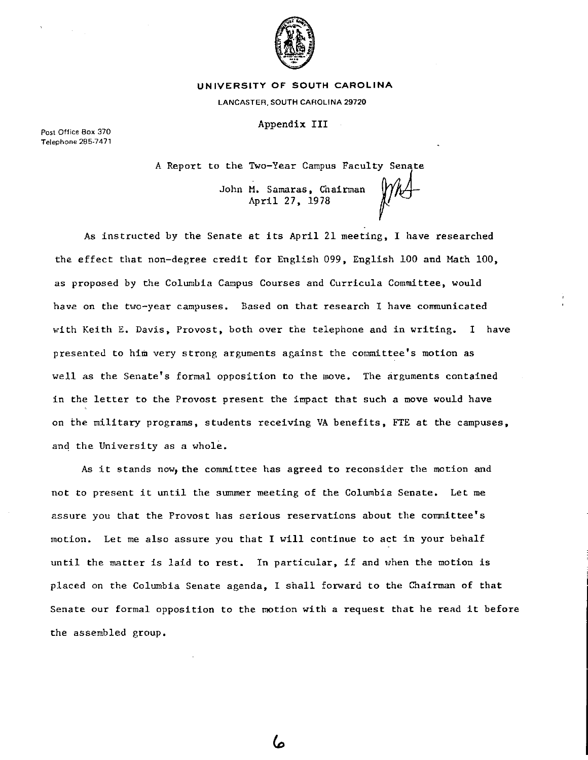

#### **UNIVERSITY OF SOUTH CAROLINA**

LANCASTER, SOUTH CAROLINA 29720

Appendix III

**Post Office Box 370 Telephone 285-7471** 

A Report to the Two-Year Campus Faculty Senate

John M. Samaras, Chairman *(YA)*-<br>April 27, 1978

As instructed by the Senate at its April 21 meeting, I have researched the effect that non-degree credit for English 099, English 100 and Math 100, as proposed by the Columbia Campus Courses and Curricula Committee, would have on the two-year campuses. Based on that research I have communicated with Keith E. Davis, Provost, both over the telephone and in writing. I have presented to him very strong arguments against the committee's motion as well as the Senate's formal opposition to the move. The arguments contained in the letter to the Provost present the impact that such a move would have on the military programs, students receiving VA benefits, FTE at the campuses, and the University as a whole.

As it stands now, the committee has agreed to reconsider the motion and not to present it until the summer meeting of the Columbia Senate. Let me assure you that the Provost has serious reservations about the committee's motion. Let me also assure you that I will continue to act in your behalf until the matter is laid to rest. In particular, if and when the motion is placed on the Columbia Senate agenda, I shall forward to the Chairman of that Senate our formal opposition to the motion with a request that he read it before the assembled group.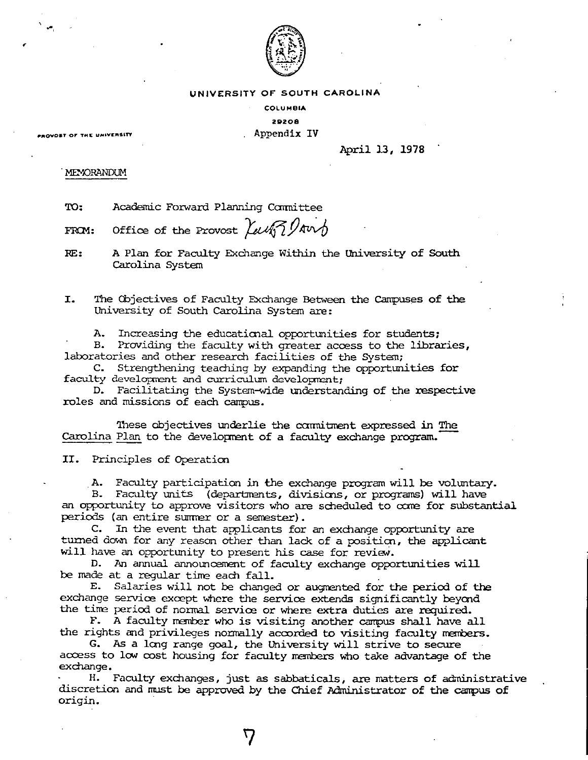

### UNIVERSITY OF SOUTH CAROLINA

**COLUMBIA** 

#### **2:9208 PROVOST OF THE UNIVERSITY CONSUMING THE CONSUMING Appendix IV**

'

 $\cdot$  , ,

### April 13, 1978

## .MENORANDUM

TO: Academic Forward Planning Carmi ttee

FROM: Office of the Provost  $\lambda$ ung ?!

RE: A Plan for Faculty Exchange Within the University of South Carolina System

I. The Cbjectives of Faculty Exchange Between the Campuses **of** the University of South Carolina System are:

A. Increasing the educational opportunities for students;

Providing the faculty with greater access to the libraries, laboratories and other research facilities of the System;

C. Strengthening teaching by expanding the opportunities for faculty development and curriculum development;

D. Facilitating the System-wide understanding of the respective roles and missions of each campus.

These objectives underlie the commitment expressed in The Carolina Plan to the development of a faculty exchange program.

II. Principles of Operatim

. A. Faculty participation in the exchange program will be volmtary.

Faculty units (departments, divisions, or programs) will have an opportunity to approve visitors who are scheduled to come for substantial periods (an entire summer or a semester).

C. In the event that applicants for an exchange opportunity are turned down for any reason other than lack of a position, the applicant will have an opportunity to present his case for review.

D. An annual announcement of faculty exchange opportunities will be made at a regular time each fall.

E. Salaries will not be changed or augmented for the period of the exchange service except where the service extends significantly beyond the tine period of normal service or where extra duties are required.

F. A faculty member who is visiting another campus shall have all the rights and privileges normally accorded to visiting faculty members.

G. As a lcng range goal, the University will strive to secure access to low cost housing for faculty members who take advantage of the exchange.

H. Faculty exchanges, just as sabbaticals, are matters of administrative discretion and must be approved by the Chief Administrator of the campus of origin.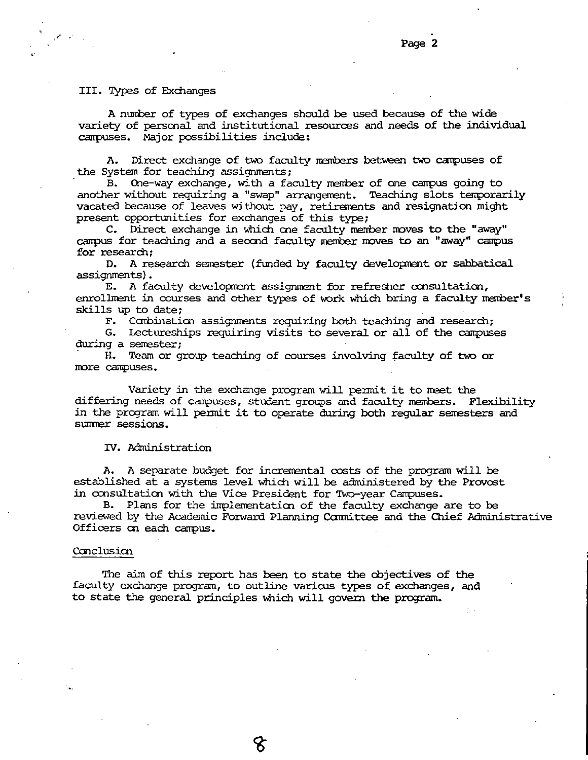### III. Types of Exchanges

*',r* •

..

**<sup>A</sup>**nurrber of types of exchanges should be used because of the wide variety of personal and institutional resources and needs of the individual campuses. Major possibilities include:

A. Direct exchange of two faculty members between two campuses of the System for teaching assignments;

B. Cne-way exchange, with a faculty merrber of one campus going to another without requiring a "swap" arrangement. Teaching slots temporarily vacated because of leaves without pay, retirements and resignation might present opportunities for exchanges of this type;

C. Direct exchange in which one faculty member moves to the "away" campus for teaching and a second faculty member moves to an "away" campus for research:

D. A research senester (funded by faculty developrent or sabbatical assignments).

E. A faculty development assignment for refresher consultation, enrollment in courses and other types of work which bring a faculty member's skills up to date;

F. Ccnbinatian assignments requiring both teaching and research:

G. Lectureships requiring visits to several or all of the campuses during a semester;

· H. Team or group teaching of courses involving faculty of two or nore campuses.

Variety in the exchange program will permit it to meet the differing needs of campuses, student groups and faculty members. Flexibility in the program will permit it to operate during both regular semesters and surmer sessions.

IV. Administration

A. A separate budget for incremental costs of the program will be established at a systems level which will be administered by the Provost in consultation with the Vice President for Two-year Campuses.

B. Plans for the implementation of the faculty exchange are to be reviewed by the Academic Forward Planning Ccmnittee and the Chief Administrative Officers oo each campus.

#### Conclusion

The aim of this report has been to state the objectives of the faculty exchange program, to outline varicus types of exchanges, and to state the general principles which will govern the program.